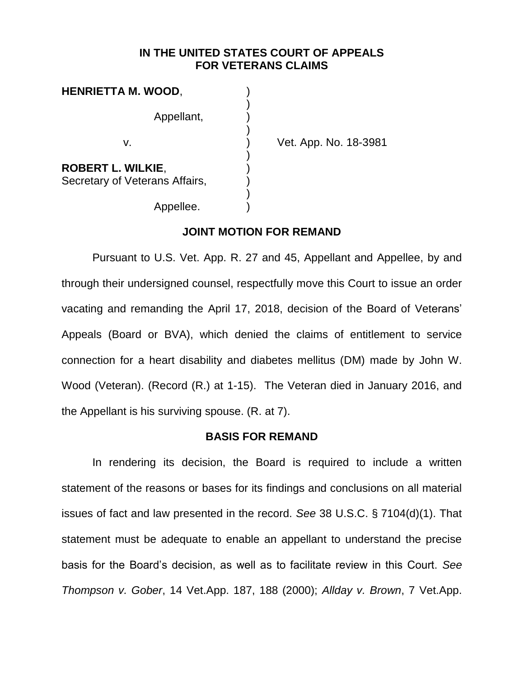## **IN THE UNITED STATES COURT OF APPEALS FOR VETERANS CLAIMS**

| HENRIETTA M. WOOD,                                         |  |
|------------------------------------------------------------|--|
| Appellant,                                                 |  |
| $V_{-}$                                                    |  |
| <b>ROBERT L. WILKIE,</b><br>Secretary of Veterans Affairs, |  |

Appellee.

Vet. App. No. 18-3981

**JOINT MOTION FOR REMAND** 

Pursuant to U.S. Vet. App. R. 27 and 45, Appellant and Appellee, by and through their undersigned counsel, respectfully move this Court to issue an order vacating and remanding the April 17, 2018, decision of the Board of Veterans' Appeals (Board or BVA), which denied the claims of entitlement to service connection for a heart disability and diabetes mellitus (DM) made by John W. Wood (Veteran). (Record (R.) at 1-15). The Veteran died in January 2016, and the Appellant is his surviving spouse. (R. at 7).

### **BASIS FOR REMAND**

In rendering its decision, the Board is required to include a written statement of the reasons or bases for its findings and conclusions on all material issues of fact and law presented in the record. *See* 38 U.S.C. § 7104(d)(1). That statement must be adequate to enable an appellant to understand the precise basis for the Board's decision, as well as to facilitate review in this Court. *See Thompson v. Gober*, 14 Vet.App. 187, 188 (2000); *Allday v. Brown*, 7 Vet.App.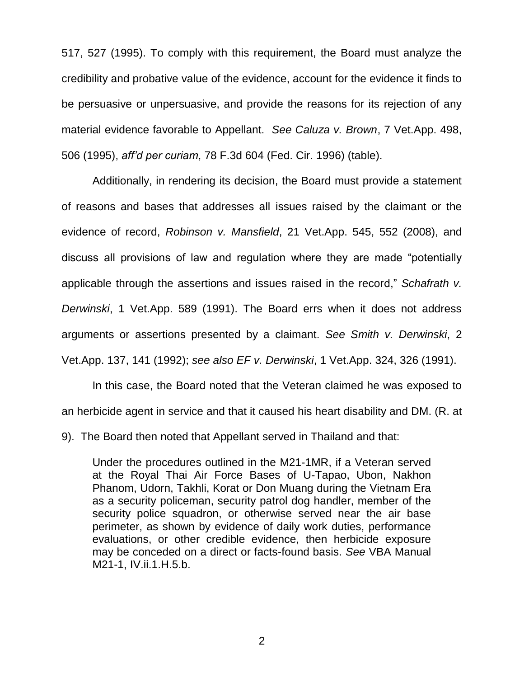517, 527 (1995). To comply with this requirement, the Board must analyze the credibility and probative value of the evidence, account for the evidence it finds to be persuasive or unpersuasive, and provide the reasons for its rejection of any material evidence favorable to Appellant. *See Caluza v. Brown*, 7 Vet.App. 498, 506 (1995), *aff'd per curiam*, 78 F.3d 604 (Fed. Cir. 1996) (table).

Additionally, in rendering its decision, the Board must provide a statement of reasons and bases that addresses all issues raised by the claimant or the evidence of record, *Robinson v. Mansfield*, 21 Vet.App. 545, 552 (2008), and discuss all provisions of law and regulation where they are made "potentially applicable through the assertions and issues raised in the record," *Schafrath v. Derwinski*, 1 Vet.App. 589 (1991). The Board errs when it does not address arguments or assertions presented by a claimant. *See Smith v. Derwinski*, 2 Vet.App. 137, 141 (1992); *see also EF v. Derwinski*, 1 Vet.App. 324, 326 (1991).

In this case, the Board noted that the Veteran claimed he was exposed to an herbicide agent in service and that it caused his heart disability and DM. (R. at

9). The Board then noted that Appellant served in Thailand and that:

Under the procedures outlined in the M21-1MR, if a Veteran served at the Royal Thai Air Force Bases of U-Tapao, Ubon, Nakhon Phanom, Udorn, Takhli, Korat or Don Muang during the Vietnam Era as a security policeman, security patrol dog handler, member of the security police squadron, or otherwise served near the air base perimeter, as shown by evidence of daily work duties, performance evaluations, or other credible evidence, then herbicide exposure may be conceded on a direct or facts-found basis. *See* VBA Manual M21-1, IV.ii.1.H.5.b.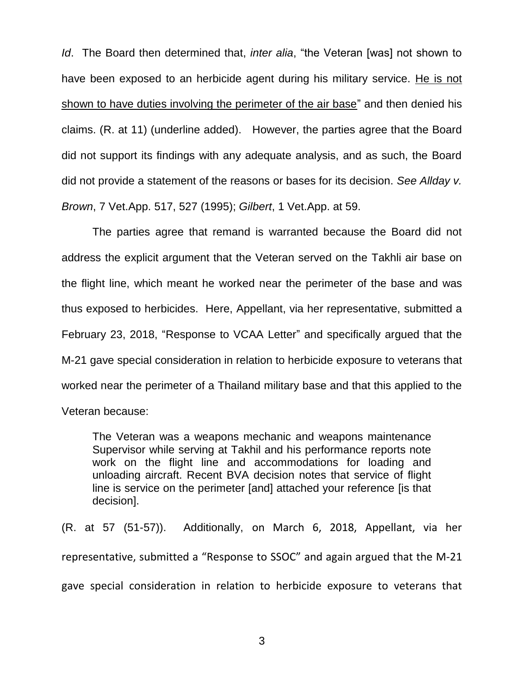*Id*. The Board then determined that, *inter alia*, "the Veteran [was] not shown to have been exposed to an herbicide agent during his military service. He is not shown to have duties involving the perimeter of the air base" and then denied his claims. (R. at 11) (underline added). However, the parties agree that the Board did not support its findings with any adequate analysis, and as such, the Board did not provide a statement of the reasons or bases for its decision. *See Allday v. Brown*, 7 Vet.App. 517, 527 (1995); *Gilbert*, 1 Vet.App. at 59.

The parties agree that remand is warranted because the Board did not address the explicit argument that the Veteran served on the Takhli air base on the flight line, which meant he worked near the perimeter of the base and was thus exposed to herbicides. Here, Appellant, via her representative, submitted a February 23, 2018, "Response to VCAA Letter" and specifically argued that the M-21 gave special consideration in relation to herbicide exposure to veterans that worked near the perimeter of a Thailand military base and that this applied to the Veteran because:

The Veteran was a weapons mechanic and weapons maintenance Supervisor while serving at Takhil and his performance reports note work on the flight line and accommodations for loading and unloading aircraft. Recent BVA decision notes that service of flight line is service on the perimeter [and] attached your reference [is that decision].

(R. at 57 (51-57)). Additionally, on March 6, 2018, Appellant, via her representative, submitted a "Response to SSOC" and again argued that the M-21 gave special consideration in relation to herbicide exposure to veterans that

3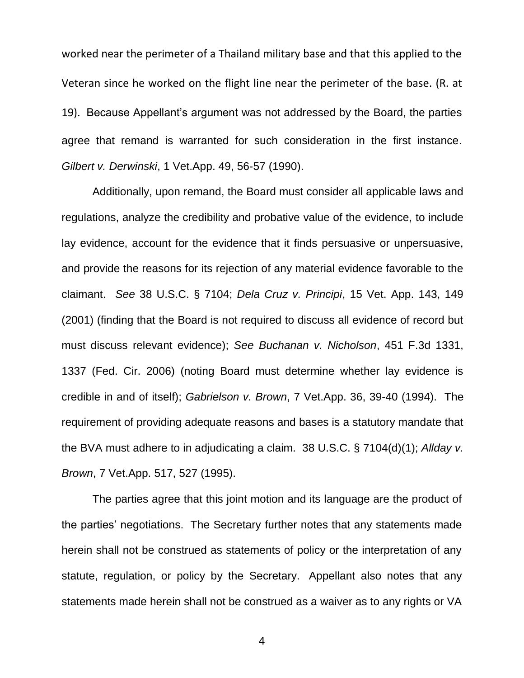worked near the perimeter of a Thailand military base and that this applied to the Veteran since he worked on the flight line near the perimeter of the base. (R. at 19). Because Appellant's argument was not addressed by the Board, the parties agree that remand is warranted for such consideration in the first instance. *Gilbert v. Derwinski*, 1 Vet.App. 49, 56-57 (1990).

Additionally, upon remand, the Board must consider all applicable laws and regulations, analyze the credibility and probative value of the evidence, to include lay evidence, account for the evidence that it finds persuasive or unpersuasive, and provide the reasons for its rejection of any material evidence favorable to the claimant. *See* 38 U.S.C. § 7104; *Dela Cruz v. Principi*, 15 Vet. App. 143, 149 (2001) (finding that the Board is not required to discuss all evidence of record but must discuss relevant evidence); *See Buchanan v. Nicholson*, 451 F.3d 1331, 1337 (Fed. Cir. 2006) (noting Board must determine whether lay evidence is credible in and of itself); *Gabrielson v. Brown*, 7 Vet.App. 36, 39-40 (1994). The requirement of providing adequate reasons and bases is a statutory mandate that the BVA must adhere to in adjudicating a claim. 38 U.S.C. § 7104(d)(1); *Allday v. Brown*, 7 Vet.App. 517, 527 (1995).

The parties agree that this joint motion and its language are the product of the parties' negotiations. The Secretary further notes that any statements made herein shall not be construed as statements of policy or the interpretation of any statute, regulation, or policy by the Secretary. Appellant also notes that any statements made herein shall not be construed as a waiver as to any rights or VA

4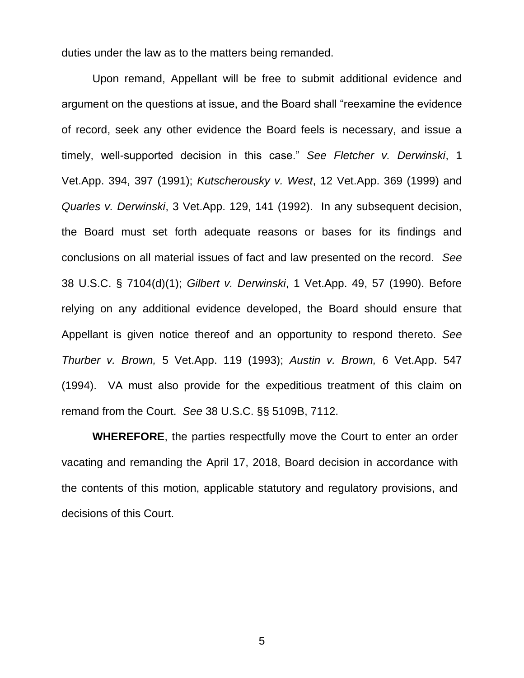duties under the law as to the matters being remanded.

Upon remand, Appellant will be free to submit additional evidence and argument on the questions at issue, and the Board shall "reexamine the evidence of record, seek any other evidence the Board feels is necessary, and issue a timely, well-supported decision in this case." *See Fletcher v. Derwinski*, 1 Vet.App. 394, 397 (1991); *Kutscherousky v. West*, 12 Vet.App. 369 (1999) and *Quarles v. Derwinski*, 3 Vet.App. 129, 141 (1992). In any subsequent decision, the Board must set forth adequate reasons or bases for its findings and conclusions on all material issues of fact and law presented on the record. *See*  38 U.S.C. § 7104(d)(1); *Gilbert [v. Derwinski](http://web2.westlaw.com/find/default.wl?tf=-1&rs=WLW10.04&referencepositiontype=S&serialnum=1991135753&fn=_top&sv=Split&referenceposition=56&findtype=Y&tc=-1&ordoc=2009339181&mt=FederalGovernment&db=463&utid=1&vr=2.0&rp=%2Ffind%2Fdefault.wl&pbc=DE686EBE)*, 1 Vet.App. 49, 57 (1990). Before relying on any additional evidence developed, the Board should ensure that Appellant is given notice thereof and an opportunity to respond thereto. *See Thurber v. Brown,* 5 Vet.App. 119 (1993); *Austin v. Brown,* 6 Vet.App. 547 (1994). VA must also provide for the expeditious treatment of this claim on remand from the Court. *See* 38 U.S.C. §§ 5109B, 7112.

**WHEREFORE**, the parties respectfully move the Court to enter an order vacating and remanding the April 17, 2018, Board decision in accordance with the contents of this motion, applicable statutory and regulatory provisions, and decisions of this Court.

5